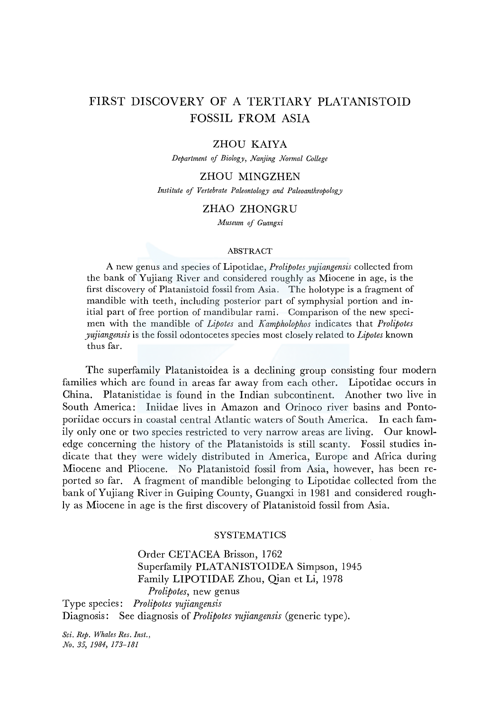# FIRST DISCOVERY OF A TERTIARY PLATANISTOID FOSSIL FROM ASIA

## ZHOU KAIYA

*Department of Biolog\_y, Nanjing Normal College* 

## ZHOU MINGZHEN

*Institute of Vertebrate Paleontology and Paleoanthropology* 

## ZHAO ZHONGRU

*ivfuseum of Guangxi* 

### ABSTRACT

A new genus and species of Lipotidae, *Prolipotes yujiangensis* collected from the bank of Yujiang River and considered roughly as Miocene in age, is the first discovery of Platanistoid fossil from Asia. The holotype is a fragment of mandible with teeth, including posterior part of symphysial portion and initial part of free portion of mandibular rami. Comparison of the new specimen with the mandible of *Lipotes* and *Kampholophos* indicates that *Prolipotes yujiangensis* is the fossil odontocetes species most closely related to *Lipotes* known thus far.

The superfamily Platanistoidea is a declining group consisting four modern families which are found in areas far away from each other. Lipotidae occurs in China. Platanistidae is found in the Indian subcontinent. Another two live in South America: Iniidae lives in Amazon and Orinoco river basins and Pontoporiidae occurs in coastal central Atlantic waters of South America. In each family only one or two species restricted to very narrow areas are living. Our knowledge concerning the history of the Platanistoids is still scanty. Fossil studies indicate that they were widely distributed in America, Europe and Africa during Miocene and Pliocene. No Platanistoid fossil from Asia, however, has been reported so far. A fragment of mandible belonging to Lipotidae collected from the bank of Yujiang River in Guiping County, Guangxi in 1981 and considered roughly as Miocene in age is the first discovery of Platanistoid fossil from Asia.

## **SYSTEMATICS**

Order CETACEA Brisson, 1762 Superfamily PLATANISTOIDEA Simpson, 1945 Family LIPOTIDAE Zhou, Qian et Li, 1978 *Prolipotes,* new genus Type species: *Prolipotes yujiangensis*  Diagnosis: See diagnosis of *Prolipotes yujiangensis* (generic type).

*Sci. Rep. Whales Res. Inst., No. 35, 1984, 173-181*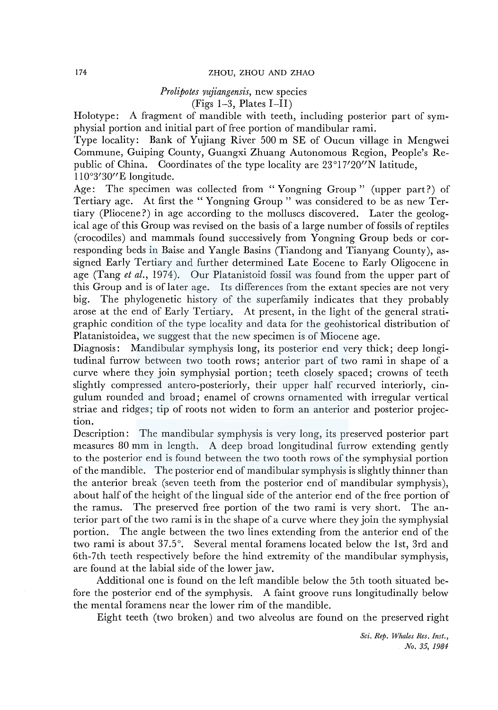## 174 ZHOU, ZHOU AND ZHAO

## *Prolipotes yujiangensis,* new species

## $(Figs 1-3, Plates I-II)$

Holotype: A fragment of mandible with teeth, including posterior part of symphysial portion and initial part of free portion of mandibular rami.

Type locality: Bank of Yujiang River 500 m SE of Oucun village in Mengwei Commune, Guiping County, Guangxi Zhuang Autonomous Region, People's Republic of China. Coordinates of the type locality are 23°l 7'20"N latitude, 110°3'30"E longitude.

Age: The specimen was collected from "Yongning Group" (upper part?) of Tertiary age. At first the " Yongning Group " was considered to be as new Tertiary (Pliocene?) in age according to the molluscs discovered. Later the geological age of this Group was revised on the basis of a large number of fossils of reptiles (crocodiles) and mammals found successively from Yongning Group beds or corresponding beds in Baise and Yangle Basins (Tiandong and Tianyang County), assigned Early Tertiary and further determined Late Eocene to Early Oligocene in age (Tang *et al.,* 1974). Our Platanistoid fossil was found from the upper part of this Group and is oflater age. Its differences from the extant species are not very big. The phylogenetic history of the superfamily indicates that they probably arose at the end of Early Tertiary. At present, in the light of the general stratigraphic condition of the type locality and data for the geohistorical distribution of Platanistoidea, we suggest that the new specimen is of Miocene age.

Diagnosis: Mandibular symphysis long, its posterior end very thick; deep longitudinal furrow between two tooth rows; anterior part of two rami in shape of a curve where they join symphysial portion; teeth closely spaced; crowns of teeth slightly compressed antero-posteriorly, their upper half recurved interiorly, cingulum rounded and broad; enamel of crowns ornamented with irregular vertical striae and ridges; tip of roots not widen to form an anterior and posterior projection.

Description: The mandibular symphysis is very long, its preserved posterior part measures 80 mm in length. A deep broad longitudinal furrow extending gently to the posterior end is found between the two tooth rows of the symphysial portion of the mandible. The posterior end of mandibular symphysis is slightly thinner than the anterior break (seven teeth from the posterior end of mandibular symphysis ), about half of the height of the lingual side of the anterior end of the free portion of the ramus. The preserved free portion of the two rami is very short. The anterior part of the two rami is in the shape of a curve where they join the symphysial portion. The angle between the two lines extending from the anterior end of the two rami is about 37.5°. Several mental foramens located below the lst, 3rd and 6th-7th teeth respectively before the hind extremity of the mandibular symphysis, are found at the labial side of the lower jaw.

Additional one is found on the left mandible below the 5th tooth situated before the posterior end of the symphysis. A faint groove runs longitudinally below the mental foramens near the lower rim of the mandible.

Eight teeth (two broken) and two alveolus are found on the preserved right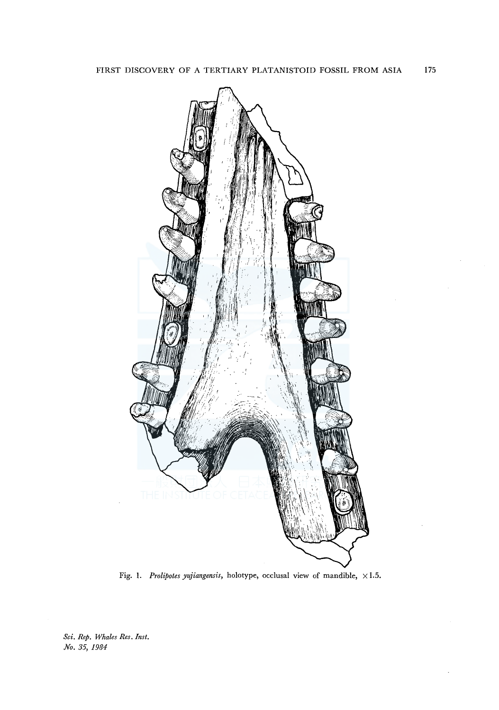

Fig. 1. *Prolipotes yujiangensis*, holotype, occlusal view of mandible,  $\times 1.5$ .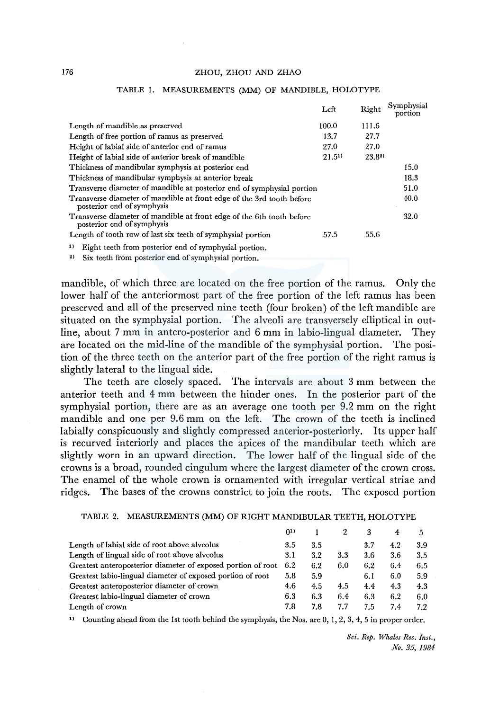#### 176 ZHOU, ZHOU AND ZHAO

|                                                                                                     | Left               | Right      | Symphysial<br>portion |
|-----------------------------------------------------------------------------------------------------|--------------------|------------|-----------------------|
| Length of mandible as preserved                                                                     | 100.0              | 111.6      |                       |
| Length of free portion of ramus as preserved                                                        | 13.7               | 27.7       |                       |
| Height of labial side of anterior end of ramus                                                      | 27.0               | 27.0       |                       |
| Height of labial side of anterior break of mandible                                                 | 21.5 <sup>11</sup> | $23.8^{2}$ |                       |
| Thickness of mandibular symphysis at posterior end                                                  |                    |            | 15.0                  |
| Thickness of mandibular symphysis at anterior break                                                 |                    |            | 18.3                  |
| Transverse diameter of mandible at posterior end of symphysial portion                              |                    |            | 51.0                  |
| Transverse diameter of mandible at front edge of the 3rd tooth before<br>posterior end of symphysis |                    |            | 40.0                  |
| Transverse diameter of mandible at front edge of the 6th tooth before<br>posterior end of symphysis |                    |            | 32.0                  |
| Length of tooth row of last six teeth of symphysial portion                                         | 57.5               | 55.6       |                       |
| Eight teeth from posterior end of symphysial portion.<br>1)                                         |                    |            |                       |

#### TABLE 1. MEASUREMENTS (MM) OF MANDIBLE, HOLOTYPE

<sup>2)</sup> Six teeth from posterior end of symphysial portion.

mandible, of which three are located on the free portion of the ramus. Only the lower half of the anteriormost part of the free portion of the left ramus has been preserved and all of the preserved nine teeth (four broken) of the left mandible are situated on the symphysial portion. The alveoli are transversely elliptical in outline, about 7 mm in antero-posterior and 6 mm in labio-lingual diameter. They are located on the mid-line of the mandible of the symphysial portion. The position of the three teeth on the anterior part of the free portion of the right ramus is slightly lateral to the lingual side.

The teeth are closely spaced. The intervals are about 3 mm between the anterior teeth and 4 mm between the hinder ones. In the posterior part of the symphysial portion, there are as an average one tooth per 9.2 mm on the right mandible and one per 9.6 mm on the left. The crown of the teeth is inclined labially conspicuously and slightly compressed anterior-posteriorly. Its upper half is recurved interiorly and places the apices of the mandibular teeth which are slightly worn in an upward direction. The lower half of the lingual side of the crowns is a broad, rounded cingulum where the largest diameter of the crown cross. The enamel of the whole crown is ornamented with irregular vertical striae and ridges. The bases of the crowns constrict to join the roots. The exposed portion

#### TABLE 2. MEASUREMENTS (MM) OF RIGHT MANDIBULAR TEETH, HOLOTYPE

|                                                              | ()1) |     |     | 3   |     | 5   |
|--------------------------------------------------------------|------|-----|-----|-----|-----|-----|
| Length of labial side of root above alveolus                 | 3.5  | 3.5 |     | 3.7 | 4.2 | 3.9 |
| Length of lingual side of root above alveolus                | 3.1  | 3.2 | 3.3 | 3.6 | 3.6 | 3.5 |
| Greatest anteroposterior diameter of exposed portion of root | 6.2  | 6.2 | 6.0 | 6.2 | 6.4 | 6.5 |
| Greatest labio-lingual diameter of exposed portion of root   | 5.8  | 5.9 |     | 6.1 | 6.0 | 5.9 |
| Greatest anteroposterior diameter of crown                   | 4.6  | 4.5 | 4.5 | 4.4 | 4.3 | 4.3 |
| Greatest labio-lingual diameter of crown                     | 6.3  | 6.3 | 6.4 | 6.3 | 6.2 | 6.0 |
| Length of crown                                              | 7.8  | 7.8 | 7.7 | 7.5 | 7.4 | 7.2 |

<sup>1)</sup> Counting ahead from the 1st tooth behind the symphysis, the Nos. are  $0, 1, 2, 3, 4, 5$  in proper order.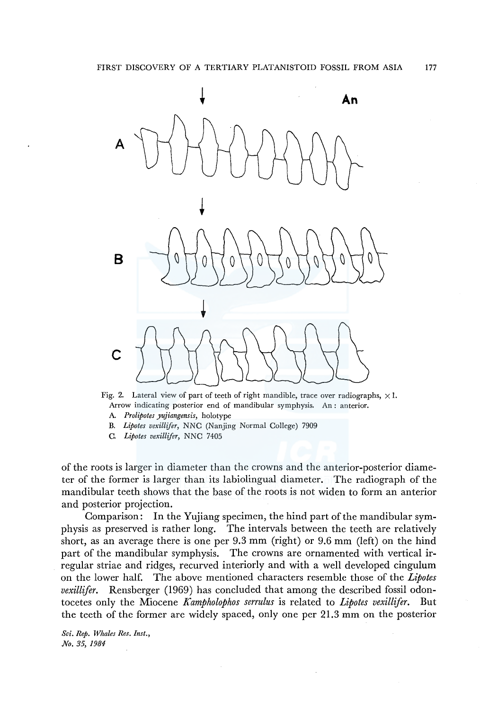

Fig. 2. Lateral view of part of teeth of right mandible, trace over radiographs,  $\times 1$ . Arrow indicating posterior end of mandibular symphysis. An : anterior.

- A. *Prolipotes yujiangensis,* holotype
- B. *Lipotes vexillifer,* NNC (Nanjing Normal College) 7909
- C. *Lipotes vexillifer,* NNC 7405

of the roots is larger in diameter than the crowns and the anterior-posterior diameter of the former is larger than its labiolingual diameter. The radiograph of the mandibular teeth shows that the base of the roots is not widen to form an anterior and posterior projection.

Comparison: In the Yujiang specimen, the hind part of the mandibular symphysis as preserved is rather long. The intervals between the teeth are relatively short, as an average there is one per 9.3 mm (right) or 9.6 mm (left) on the hind part of the mandibular symphysis. The crowns are ornamented with vertical irregular striae and ridges, recurved interiorly and with a well developed cingulum on the lower half. The above mentioned characters resemble those of the *Lipotes vexillifer.* Rensberger (1969) has concluded that among the described fossil odontocetes only the Miocene *Kampholophos serrulus* is related to *Lipotes vexillifer.* But the teeth of the former are widely spaced, only one per 21.3 mm on the posterior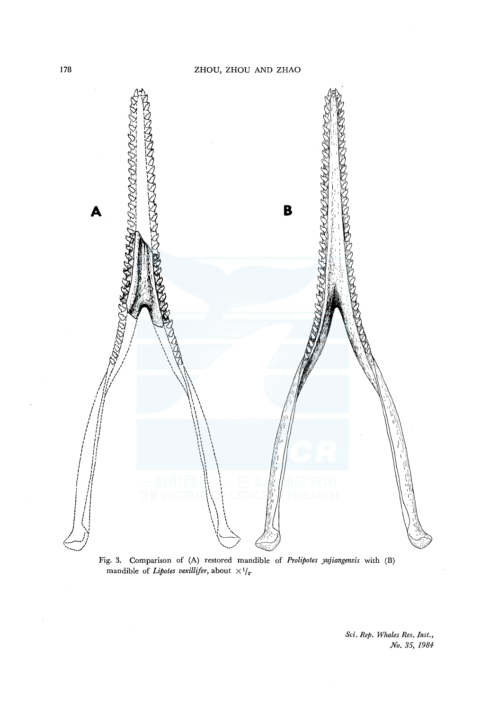

Fig. 3. Comparison of (A) restored mandible of *Prolipotes yujiangensis* with (B) mandible of *Lipotes vexillifer*, about  $\times$ <sup>1</sup>/<sub>3</sub>.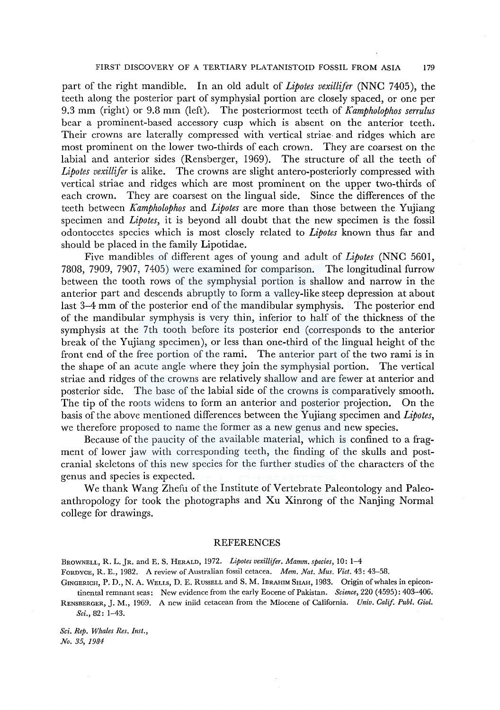#### FIRST DISCOVERY OF A TERTIARY PLATANISTOID FOSSIL FROM ASIA 179

part of the right mandible. In an old adult of *Lipotes vexillifer* (NNC 7405), the teeth along the posterior part of symphysial portion are closely spaced, or one per 9.3 mm (right) or 9.8 mm (left). The posteriormost teeth of *Kampholophos serrulus*  bear a prominent-based accessory cusp which is absent on the anterior teeth. Their crowns are laterally compressed with vertical striae· and ridges which are most prominent on the lower two-thirds of each crown. They are coarsest on the labial and anterior sides (Rensberger, 1969). The structure of all the teeth of *Lipotes vexillifer* is alike. The crowns are slight antero-posteriorly compressed with vertical striae and ridges which are most prominent on the upper two-thirds of each crown. They are coarsest on the lingual side. Since the differences of the teeth between *Kampholophos* and *Lipotes* are more than those between the Yujiang specimen and *Lipotes,* it is beyond all doubt that the new specimen is the fossil odontocetes species which is most closely related to *Lipotes* known thus far and should be placed in the family Lipotidae.

Five mandibles of different ages of young and adult of *Lipotes* (NNC 5601, 7808, 7909, 7907, 7405) were examined for comparison. The longitudinal furrow between the tooth rows of the symphysial portion is shallow and narrow in the anterior part and descends abruptly to form a valley-like steep depression at about last 3-4 mm of the posterior end of the mandibular symphysis. The posterior end of the mandibular symphysis is very thin, inferior to half of the thickness of the symphysis at the 7th tooth before its posterior end (corresponds to the anterior break of the Yujiang specimen), or less than one-third of the lingual height of the front end of the free portion of the rami. The anterior part of the two rami is in the shape of an acute angle where they join the symphysial portion. The vertical striae and ridges of the crowns are relatively shallow and are fewer at anterior and posterior side. The base of the labial side of the crowns is comparatively smooth. The tip of the roots widens to form an anterior and posterior projection. On the basis of the above mentioned differences between the Yujiang specimen and *Lipotes,*  we therefore proposed to name the former as a new genus and new species.

Because of the paucity of the available material, which is confined to a fragment of lower jaw with corresponding teeth, the finding of the skulls and postcranial skeletons of this new species for the further studies of the characters of the genus and species is expected.

We thank Wang Zhefu of the Institute of Vertebrate Paleontology and Paleoanthropology for took the photographs and Xu Xinrong of the Nanjing Normal college for drawings.

#### REFERENCES

BROWNELL, R. L. jR. and E. S. HERALD, 1972. *Lipotes vexillifer. Mamm. species,* 10: 1-4 FORDYCE, R. E., 1982. A review of Australian fossil cetacea. *Mem. Nat. Mus. Viet.* 43: 43-58.

GINGERICH, P. D., N. A. WELLS, D. E. RussELL and S. M. IBRAHIM SHAH, 1983. Origin of whales in epicontinental remnant seas: New evidence from the early Eocene of Pakistan. *Science,* 220 (4595): 403--406. RENSBERGER, J.M., 1969. A new iniid cetacean from the Miocene of California. *Univ. Calif. Puhl. Giol.* 

*Sci.,* 82: 1-43.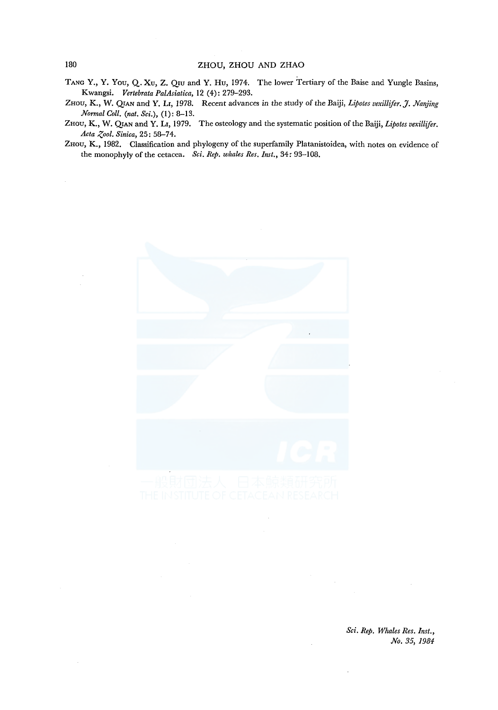- TANG Y., Y. You, Q. Xu, Z. Qru and Y. Hu, 1974. The lower Tertiary of the Baise and Yungle Basins, Kwangsi. *Vertebrata PalAsiatica,* 12 (4): 279-293.
- ZHOU, K., W. QIAN and Y. Lr, 1978. Recent advances in the study of the Baiji, *Lipotes vexillifer.* J. *Nanjing Normal Coll. (nat. Sci.),* (1): 8-13.
- ZHOU, K., W. QIAN and Y. Lr, 1979. The osteology and the systematic position of the Baiji, *Lipotes vexillifer.* Acta Zool. Sinica, 25: 58-74.
- ZHou, K., 1982. Classification and phylogeny of the superfamily Platanistoidea, with notes on evidence of the monophyly of the cetacea. *Sci. Rep. whales Res. Inst.,* 34: 93-108.

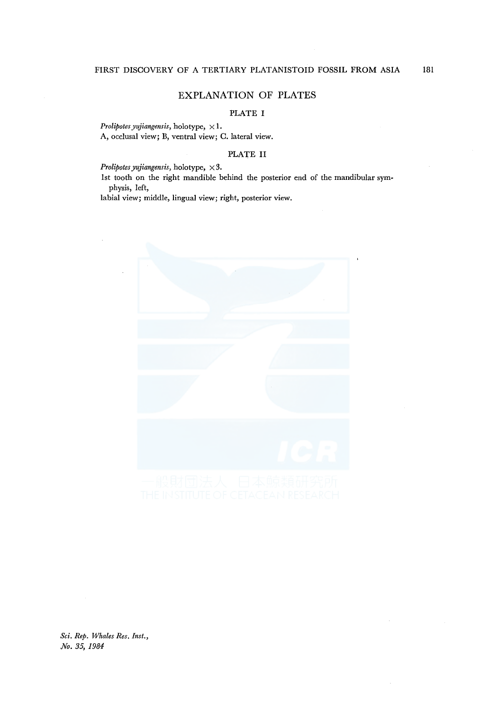## EXPLANATION OF PLATES

## PLATE I

*Prolipotes yujiangensis, holotype,*  $\times 1$ . A, occlusal view; B, ventral view; C. lateral view.

#### PLATE II

*Prolipotes yujiangensis, holotype,*  $\times 3$ .

lst tooth on the right mandible behind the posterior end of the mandibular symphysis, left,

labial view; middle, lingual view; right, posterior view.

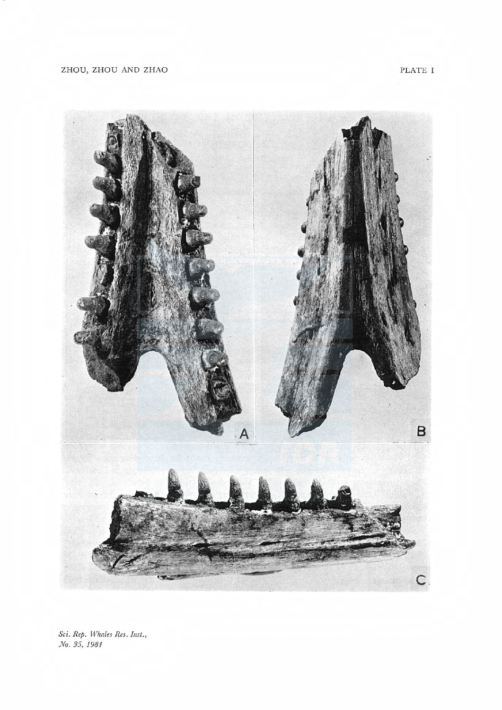PLATE I